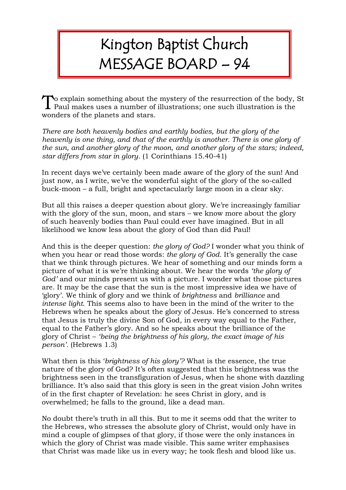## Kington Baptist Church MESSAGE BOARD – 94

o explain something about the mystery of the resurrection of the body, St  $\sum$  o explain something about the mystery of the resurrection of the body, Paul makes uses a number of illustrations; one such illustration is the wonders of the planets and stars.

*There are both heavenly bodies and earthly bodies, but the glory of the heavenly is one thing, and that of the earthly is another. There is one glory of the sun, and another glory of the moon, and another glory of the stars; indeed, star differs from star in glory.* (1 Corinthians 15.40-41)

In recent days we've certainly been made aware of the glory of the sun! And just now, as I write, we've the wonderful sight of the glory of the so-called buck-moon – a full, bright and spectacularly large moon in a clear sky.

But all this raises a deeper question about glory. We're increasingly familiar with the glory of the sun, moon, and stars – we know more about the glory of such heavenly bodies than Paul could ever have imagined. But in all likelihood we know less about the glory of God than did Paul!

And this is the deeper question: *the glory of God?* I wonder what you think of when you hear or read those words: *the glory of God*. It's generally the case that we think through pictures. We hear of something and our minds form a picture of what it is we're thinking about. We hear the words *'the glory of God'* and our minds present us with a picture. I wonder what those pictures are. It may be the case that the sun is the most impressive idea we have of 'glory'. We think of glory and we think of *brightness* and *brilliance* and *intense light*. This seems also to have been in the mind of the writer to the Hebrews when he speaks about the glory of Jesus. He's concerned to stress that Jesus is truly the divine Son of God, in every way equal to the Father, equal to the Father's glory. And so he speaks about the brilliance of the glory of Christ – *'being the brightness of his glory, the exact image of his person'.* (Hebrews 1.3)

What then is this '*brightness of his glory'?* What is the essence, the true nature of the glory of God? It's often suggested that this brightness was the brightness seen in the transfiguration of Jesus, when he shone with dazzling brilliance. It's also said that this glory is seen in the great vision John writes of in the first chapter of Revelation: he sees Christ in glory, and is overwhelmed; he falls to the ground, like a dead man.

No doubt there's truth in all this. But to me it seems odd that the writer to the Hebrews, who stresses the absolute glory of Christ, would only have in mind a couple of glimpses of that glory, if those were the only instances in which the glory of Christ was made visible. This same writer emphasises that Christ was made like us in every way; he took flesh and blood like us.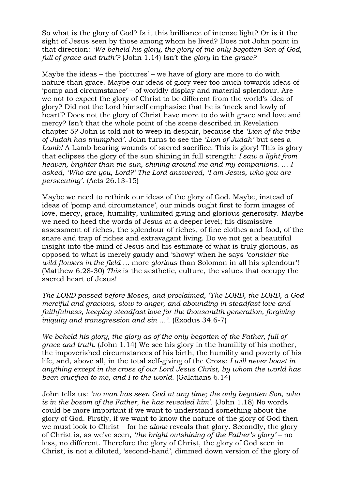So what is the glory of God? Is it this brilliance of intense light? Or is it the sight of Jesus seen by those among whom he lived? Does not John point in that direction: *'We beheld his glory, the glory of the only begotten Son of God, full of grace and truth'?* (John 1.14) Isn't the *glory* in the *grace?*

Maybe the ideas – the 'pictures' – we have of glory are more to do with nature than grace. Maybe our ideas of glory veer too much towards ideas of 'pomp and circumstance' – of worldly display and material splendour. Are we not to expect the glory of Christ to be different from the world's idea of glory? Did not the Lord himself emphasise that he is 'meek and lowly of heart'? Does not the glory of Christ have more to do with grace and love and mercy? Isn't that the whole point of the scene described in Revelation chapter 5? John is told not to weep in despair, because the *'Lion of the tribe of Judah has triumphed'*. John turns to see the *'Lion of Judah'* but sees a *Lamb!* A Lamb bearing wounds of sacred sacrifice. This is glory! This is glory that eclipses the glory of the sun shining in full strength: *I saw a light from heaven, brighter than the sun, shining around me and my companions. … I asked, 'Who are you, Lord?' The Lord answered, 'I am Jesus, who you are persecuting'*. (Acts 26.13-15)

Maybe we need to rethink our ideas of the glory of God. Maybe, instead of ideas of 'pomp and circumstance', our minds ought first to form images of love, mercy, grace, humility, unlimited giving and glorious generosity. Maybe we need to heed the words of Jesus at a deeper level; his dismissive assessment of riches, the splendour of riches, of fine clothes and food, of the snare and trap of riches and extravagant living. Do we not get a beautiful insight into the mind of Jesus and his estimate of what is truly glorious, as opposed to what is merely gaudy and 'showy' when he says *'consider the wild flowers in the field …* more *glorious* than Solomon in all his splendour'! (Matthew 6.28-30) *This* is the aesthetic, culture, the values that occupy the sacred heart of Jesus!

*The LORD passed before Moses, and proclaimed, 'The LORD, the LORD, a God merciful and gracious, slow to anger, and abounding in steadfast love and faithfulness, keeping steadfast love for the thousandth generation, forgiving iniquity and transgression and sin …'.* (Exodus 34.6-7)

*We beheld his glory, the glory as of the only begotten of the Father, full of grace and truth.* (John 1.14) We see his glory in the humility of his mother, the impoverished circumstances of his birth, the humility and poverty of his life, and, above all, in the total self-giving of the Cross: *I will never boast in anything except in the cross of our Lord Jesus Christ, by whom the world has been crucified to me, and I to the world.* (Galatians 6.14)

John tells us: *'no man has seen God at any time; the only begotten Son, who is in the bosom of the Father, he has revealed him'.* (John 1.18) No words could be more important if we want to understand something about the glory of God. Firstly, if we want to know the nature of the glory of God then we must look to Christ – for he *alone* reveals that glory. Secondly, the glory of Christ is, as we've seen, *'the bright outshining of the Father's glory'* – no less, no different. Therefore the glory of Christ, the glory of God seen in Christ, is not a diluted, 'second-hand', dimmed down version of the glory of